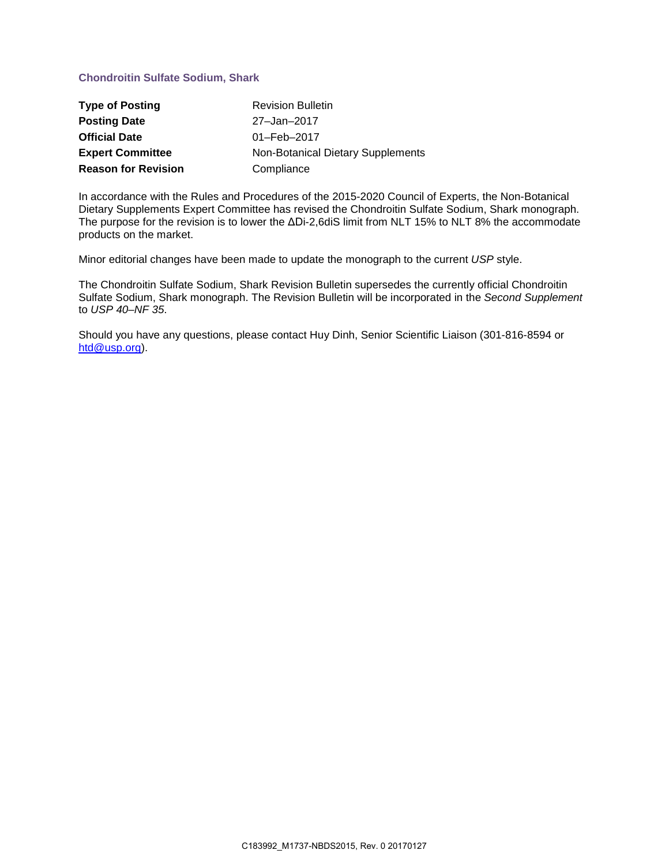## **Chondroitin Sulfate Sodium, Shark**

| <b>Type of Posting</b>     | <b>Revision Bulletin</b>          |  |
|----------------------------|-----------------------------------|--|
| <b>Posting Date</b>        | 27-Jan-2017                       |  |
| <b>Official Date</b>       | $01 - \text{Feb} - 2017$          |  |
| <b>Expert Committee</b>    | Non-Botanical Dietary Supplements |  |
| <b>Reason for Revision</b> | Compliance                        |  |

In accordance with the Rules and Procedures of the 2015-2020 Council of Experts, the Non-Botanical Dietary Supplements Expert Committee has revised the Chondroitin Sulfate Sodium, Shark monograph. The purpose for the revision is to lower the ΔDi-2,6diS limit from NLT 15% to NLT 8% the accommodate products on the market.

Minor editorial changes have been made to update the monograph to the current *USP* style.

The Chondroitin Sulfate Sodium, Shark Revision Bulletin supersedes the currently official Chondroitin Sulfate Sodium, Shark monograph. The Revision Bulletin will be incorporated in the *Second Supplement* to *USP 40–NF 35*.

Should you have any questions, please contact Huy Dinh, Senior Scientific Liaison (301-816-8594 or [htd@usp.org\)](mailto:htd@usp.org).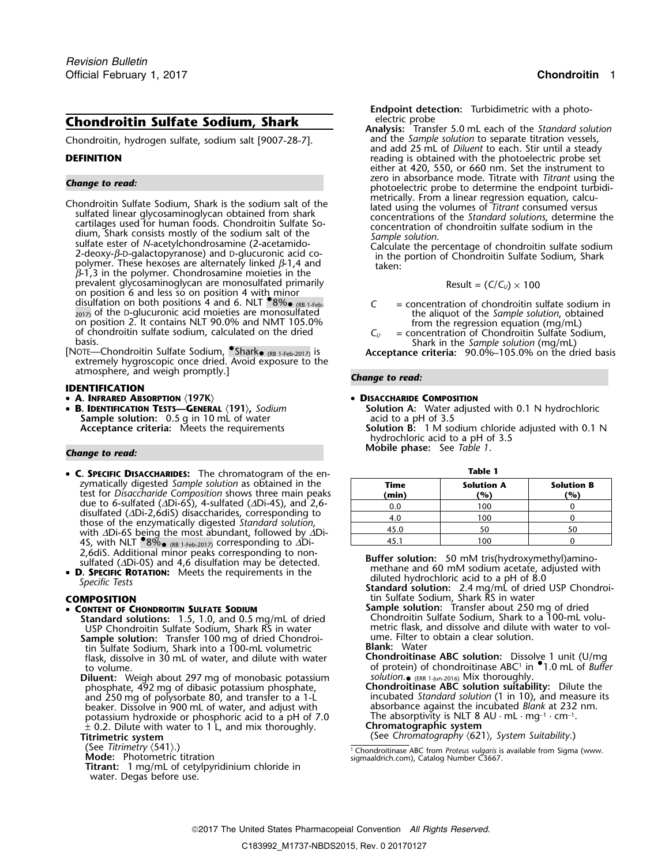# **Chondroitin Sulfate Sodium, Shark**

Chondroitin, hydrogen sulfate, sodium salt [9007-28-7].

- Chondroitin Sulfate Sodium, Shark is the sodium salt of the<br>sulfated linear glycosaminoglycan obtained from shark<br>cartilages used for human foods. Chondroitin Sulfate So-<br>dium, Shark consists mostly of the sodium salt of prevalent glycosaminoglycan are monosulfated primarily on position 6 and less so on position 4 with minor disulfation on both positions 4 and 6. NLT  $\bullet$ 8% $\bullet$  (RB 1-Feb.) 2017) of the D-glucuronic acid moieties are monosulfated<br>
2017) of the D-glucuronic acid moieties are monosulfated<br>
2017) of the *Sample solution*, obtained<br>
2017) of the *D-glucuronic acid moieties are monosulfated*<br>
2017 on position 2. It contains NLT 90.0% and NMT 105.0%<br>of chondroitin sulfate sodium, calculated on the dried<br>basis.<br>[NOTE—Chondroitin Sulfate Sodium, Shark, (RB 1-Feb-2017) is Acceptance criteria: 90.0%–105.0% on the dried
- extremely hygroscopic once dried. Avoid exposure to the atmosphere, and weigh promptly.] *Change to read:*

### **IDENTIFICATION**

- **A. INFRARED ABSORPTION** 〈**197K**〉 **DISACCHARIDE COMPOSITION**
- •**Sample solution:** 0.5 g in 10 mL of water

- **Table 1 C. SPECIFIC DISACCHARIDES:** The chromatogram of the enzymatically digested *Sample solution* as obtained in the **Time Solution A Solution B** test for *Disaccharide Composition* shows three main peaks **(min) (%) (%)** due to 6-sulfated (∆Di-6S), 4-sulfated (∆Di-4S), and 2,6-<br>disulfated (∆Di-2,6diS) disaccharides, corresponding to<br>those of the enzymatically digested *Standard solution*, with ∆Di-6S being the most abundant, followed by ∆Di-4S, with NLT <sup>●8%</sup> <sub>€ (RB 1-Feb-2017)</sub> corresponding to ∆Di- the control of the control of the control of the control of the control of the control of the control of the control of the control of the control of the contr
- **D. SPECIFIC ROTATION:** Meets the requirements in the diluted hydrochloric acid to a pH of 8.0 *Specific Tests*<br>Specific Tests<br>**Standard solution:** 2.4 mg/mL of dried USP Chondroi-

### •

- **Standard solutions:** 1.5, 1.0, and 0.5 mg/mL of dried Chondroitin Sulfate Sodium, Shark to a 100-mL volu-**Sample solution:** Transfer 100 mg of dried Chondroi-**Lume. The State Chondroi-** Transfer to obtain a clear solution. tin Sulfate Sodium, Shark into a 100-mL volumetric **Blank:** Water flask, dissolve in 30 mL of water, and dilute with water
	- **Diluent:** Weigh about 297 mg of monobasic potassium solution. KERR 1-Jun-2016) Mix thoroughly. **FINDERT:** Weigh about 297 mg of monobasic potassium<br>phosphate, 492 mg of dibasic potassium phosphate, **Chondroitinase ABC solution suitability:** Dilute the and 250 mg of polysorbate 80, and transfer to a 1-L incubated *Standard solution* (1 in 10), and measure its beaker. Dissolve in 900 mL of water, and adjust with absorbance against the incubated *Blank* at 232 nm. The absorptivity is NLT 8 AU · mL · mg<sup>-1</sup> · cm<sup>-1</sup>.<br>  $\pm$  0.2. Dilute with water to 1 L, and mix thoroughly. **Chromatographic system** <sup>±</sup> 0.2. Dilute with water to 1 L, and mix thoroughly. **Chromatographic system**
	-
	- (See *Titrimetry*  $\langle 541 \rangle$ .)<br>**Mode:** Photometric titration
	- **Titrant:** 1 mg/mL of cetylpyridinium chloride in water. Degas before use.

**Endpoint detection:** Turbidimetric with a photo-

**Analysis:** Transfer 5.0 mL each of the *Standard solution* and add 25 mL of *Diluent* to each. Stir until a steady **DEFINITION DEFINITION reading is obtained with the photoelectric probe set** either at 420, 550, or 660 nm. Set the instrument to zero in absorbance mode. Titrate with *Titrant* using the **Change to read:**<br>
Photoelectric probe to determine the endpoint turbidi-<br>
Change **Sharehouse Sharehouse Sharehouse Sharehouse** the *safting of the Change industrically*. From a linear regression equation, calcu-

$$
Result = (C/C_U) \times 100
$$

- (RB 1-Feb- *C* = concentration of chondroitin sulfate sodium in
- 

Shark in the Sample solution (mg/mL)<br>**Acceptance criteria:** 90.0%–105.0% on the dried basis

**B.** INFRARED ABSORPTION  $\langle 197K \rangle$ <br> **B.** IDENTIFICATION TESTS—GENERAL  $\langle 191 \rangle$ , Sodium<br>
Sample solution: 0.5 g in 10 mL of water acid to a pH of 3.5<br>
Sample solution: 0.5 g in 10 mL of water acid to a pH of 3.5 **Acceptance criteria:** Meets the requirements **Solution B:** 1 M sodium chloride adjusted with 0.1 N hydrochloric acid to a pH of 3.5 **Mobile phase:** See *Table 1*. *Change to read:*

| × | ۰.<br>M.<br>۰. |  |
|---|----------------|--|

| Time<br>(min) | <b>Solution A</b><br>(%) | <b>Solution B</b><br>(%) |  |
|---------------|--------------------------|--------------------------|--|
| 0.0           | 100                      |                          |  |
| 4.0           | 100                      |                          |  |
| 45.0          | 50                       |                          |  |
| 45.1          | 100                      |                          |  |

2,6diS. Additional minor peaks corresponding to non-<br> **Buffer solution:** 50 mM tris(hydroxymethyl)amino-<br> **D. SPECIFIC ROTATION:** Meets the requirements in the methane and 60 mM sodium acetate, adjusted with *diluted hydr* 

**COMPOSITION** tin Sulfate Sodium, Shark RS in water

- **COMPOSITION**<br> **CONTENT OF CHONDROITIN SULFATE SODIUM**<br>**Standard solutions:** 1.5, 1.0, and 0.5 mg/mL of dried **Sample solution:** Transfer about 250 mg of dried<br>**Standard solutions:** 1.5, 1.0, and 0.5 mg/mL of dried Chondr USP Chondroitin Sulfate Sodium, Shark RS in water metric flask, and dissolve and dilute with water to vol
	- of protein) of chondroitinase ABC solution: Dissolve 1 unit (U/mg<br>to volume. . . . . in •1.0 mL of *water*, and dilute with water chondroitinase ABC solution: Dissolve 1 unit (U/mg<br>of protein) of chondroitinase ABC<sup>1</sup> in
		-
		- **Titrimetric system** (See *Chromatography* 〈621〉*, System Suitability*.)

<sup>&</sup>lt;sup>1</sup> Chondroitinase ABC from *Proteus vulgaris* is available from Sigma (www. sigmaaldrich.com), Catalog Number C3667.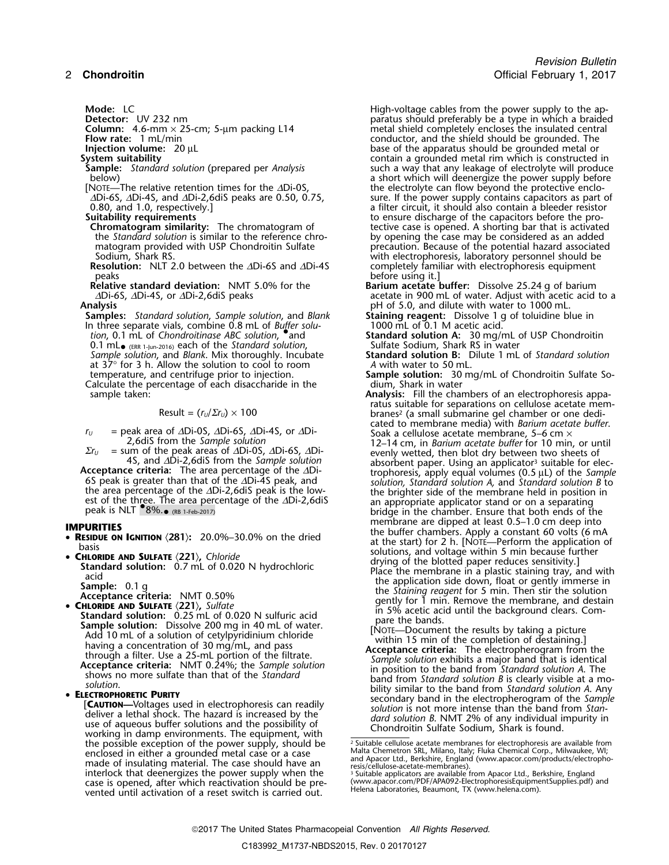- 
- 

- the *Standard solution* is similar to the reference chro-<br>matogram provided with USP Chondroitin Sulfate
- **Resolution:** NLT 2.0 between the ∆Di-6S and ∆Di-4S peaks peaks before using it.<br> **Relative standard deviation:** NMT 5.0% for the **Barium acetate**

**Samples:** *Standard solution*, *Sample solution*, and *Blank* **Staining reagent:** Dissolve 1 g of toluidine blue in In three separate vials, combine 0.8 mL of *Buffer solu-* 1000 mL of 0.1 M acetic acid.<br> *tion*, 0.1 mL of *Chondroitinase ABC solution*, and **Standard solution A:** 30 mg/ 0.1 mL• (ERR 1-Jun-2016) each of the *Standard solution*, Sulfate Sodium, Shark RS in water at  $37^{\circ}$  for 3 h. Allow the solution to cool to room *A* with water to 50 mL. Calculate the percentage of each disaccharide in the sample taken:

est of the three. The area percentage of the ∆Di-2,6diS an appropriate applicator stand or on a separating peak is NLT  $^{\bullet}$ 8%. $_{\bullet}$  (RB 1-Feb-2017)

- 
- -
- 
- CHLORIDE AND SULFATE (221), Sulfate<br>
Standard solution: 0.25 mL of 0.020 N sulfuric acid<br>
Standard solution: 0.25 mL of 0.020 N sulfuric acid<br>
Add 10 mL of a solution of cetylpyridinium chloride<br>
Add 10 mL of a solution

**ELECTROPHORETIC PURITY**<br> **ELECTROPHORETIC PURITY**<br> **ELECTROPHORETIC PURITY**<br> **ELECTROPHORETIC PURITY**<br> **ELECTROPHORETIC PURITY**<br> **ELECTROPHORETIC PURITY**<br> **ELECTROPHORETIC PURITY**<br> **ELECTROPHORETIC PURITY**<br> **ELECTROPHORET** the possible exception of the power supply, should be a sailable cellulose acetate membranes for electrophoresis are available from<br>enclosed in either a grounded metal case or a case and Apacor Ltd, Berkshire, England (www interlock that deenergizes the power supply when the<br>case is opened, after which reactivation should be pre-<br>vented until activation of a reset switch is carried out<br>thelena Laboratories, Beaumont, TX (www.helena.com). vented until activation of a reset switch is carried out.

**Mode:** LC<br> **Detector:** UV 232 nm<br> **Detector:** UV 232 nm **Detector:** UV 232 nm<br>**Column:** 4.6-mm × 25-cm; 5-µm packing L14 **paratus should preferably be a type in which a braided central Column:** 4.6-mm × 25-cm; 5-µm packing L14 metal shield completely encloses the insulated central conductor, and the shield should be grounded. The **Flow rate:** 1 mL/min **Conduction** conductor, and the shield should be grounded. The **Injection volume:** 20 µL base of the apparatus should be grounded metal or **Injection volume:** 20 µL **base of the apparatus should be grounded metal or system suitability suite should be grounded metal or system suitability System suitability**<br>**Sample:** Standard solution (prepared per Analysis Sample and a way that any leakage of electrolyte will produce **Sample:** *Standard solution* (prepared per *Analysis* such a way that any leakage of electrolyte will produce below)<br>a short which will deenergize the power supply before below)<br>  $\mu$  a short which will deenergize the power supply before<br>  $\mu$  the electrolyte can flow beyond the protective enclo-NOTE—The relative retention times for the ∆Di-0S, the electrolyte can flow beyond the protective enclo-<br>∆Di-6S, ∆Di-4S, and ∆Di-2,6diS peaks are 0.50, 0.75, sure. If the power supply contains capacitors as part ( ∆Di-6S, ∆Di-4S, and ∆Di-2,6diS peaks are 0.50, 0.75, sure. If the power supply contains capacitors as part of 0.80, and 1.0, respectively.] 0.80, and 1.0, respectively.] a filter circuit, it should also contain a bleeder resistor of the capacitors before the pro-**Suitability requirements**<br> **Suitability requirements**<br> **Suitability requirements**<br> **Suitably** to ensure discharge of the capacitors before the pro-<br> **Chromatogram similarity:** The chromatogram of the tective case is opene tective case is opened. A shorting bar that is activated<br>by opening the case may be considered as an added matogram provided with USP Chondroitin Sulfate precaution. Because of the potential hazard associated<br>Sodium, Shark RS. with electrophoresis, laboratory personnel should be with electrophoresis, laboratory personnel should be completely familiar with electrophoresis equipment

- **Relative standard deviation:** NMT 5.0% for the **Barium acetate buffer:** Dissolve 25.24 g of barium ∆Di-6S, ∆Di-4S, or ∆Di-2,6diS peaks acetate in 900 mL of water. Adjust with acetic acid to a<br>acetate in 900 mL of 5.0, and dilute with water to 1000 mL. **Analysis** pH of 5.0, and dilute with water to 1000 mL.
	-

**Standard solution A:** 30 mg/mL of USP Chondroitin<br>Sulfate Sodium, Shark RS in water

*Sample solution*, and *Blank*. Mix thoroughly. Incubate **Standard solution B:** Dilute 1 mL of *Standard solution*

- temperature, and centrifuge prior to injection. **Sample solution:** 30 mg/mL of Chondroitin Sulfate So-
- Analysis: Fill the chambers of an electrophoresis appa-<br>ratus suitable for separations on cellulose acetate mem $r = \frac{1}{2}$  Result =  $(r_U/\Sigma r_U) \times 100$  branes<sup>2</sup> (a small submarine gel chamber or one dedicated to membrane media) with *Barium acetate buffer*. *r*<sub>*U*</sub> = peak area of ∆Di-0S, ∆Di-6S, ∆Di-4S, or ∆Di-<br>2,6dis from the *Sample solution*<br>2,6dis from the *Sample solution*  $\Sigma r_U$  = sum of the peak areas of  $\Delta$ Di-0S,  $\Delta$ Di-6S,  $\Delta$ Di-<br>4S, and  $\Delta$ Di-2,6diS from the Sample solution<br>**Acceptance criteria:** The area percentage of the  $\Delta$ Di-<br>**Acceptance criteria:** The area percentage of the  $\$ **Acceptance criteria:** The area percentage of the  $\Delta$ Di-<br>
6S peak is greater than that of the  $\Delta$ Di-4S peak, and<br>
the area percentage of the  $\Delta$ Di-2,6dis peak is the low-<br>
the brighter side of the membrane held in posi bridge in the chamber. Ensure that both ends of the membrane are dipped at least 0.5–1.0 cm deep into membrane are dipped at least 0.5–1.0 cm deep into **IMPURITIES** the buffer chambers. Apply a constant 60 volts (6 mA •**RESIDUE ON CONTION** (281): 20.0%–30.0% on the dried at the start) for 2 h. [NOTE—Perform the application of assis and voltage within 5 min because further **• CHI ORIDE CHI ORIDE CHI ORIDE CHI ORIDE CHI ORIDE 4** • CHLORIDE AND SULFATE  $(221)$ , Chloride<br>
Standard solution: 0.7 mL of 0.020 N hydrochloric<br>
acid<br>
Sample: 0.1 g<br>
Sample: 0.1 g<br>
Sample: 0.1 g<br>
Sample: 0.1 g<br>
Sample: 0.1 g<br>
Sample: 0.1 g<br>
Sample: 221). Sulfate<br>
CHIORIDE
	-
	-